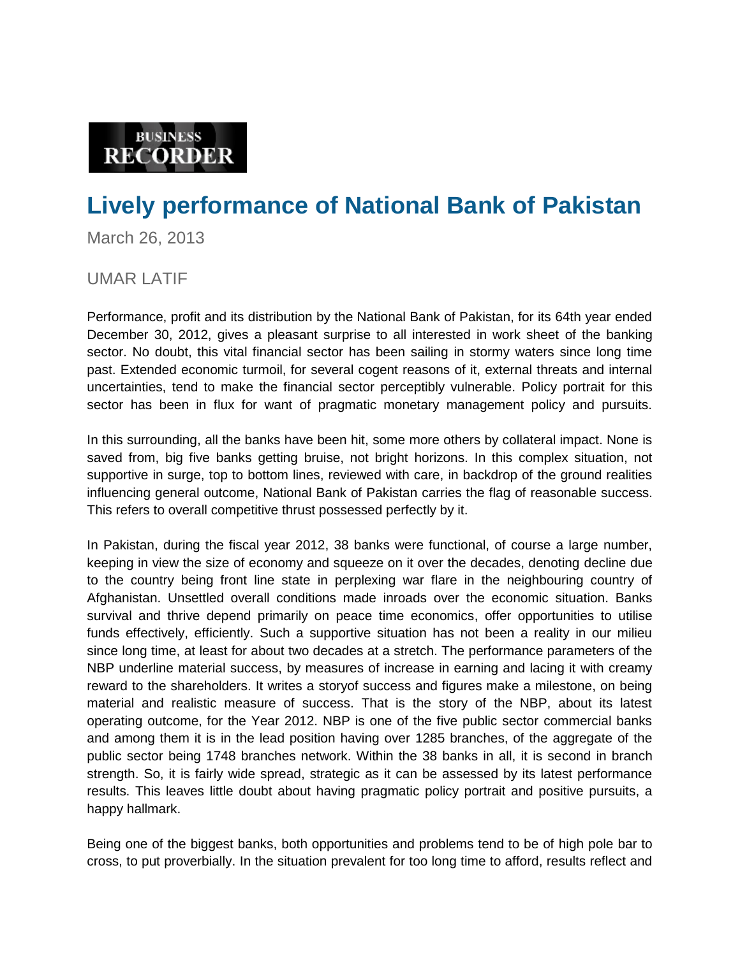## **BUSINESS RECORDER**

## **Lively performance of National Bank of Pakistan**

March 26, 2013

## UMAR LATIF

Performance, profit and its distribution by the National Bank of Pakistan, for its 64th year ended December 30, 2012, gives a pleasant surprise to all interested in work sheet of the banking sector. No doubt, this vital financial sector has been sailing in stormy waters since long time past. Extended economic turmoil, for several cogent reasons of it, external threats and internal uncertainties, tend to make the financial sector perceptibly vulnerable. Policy portrait for this sector has been in flux for want of pragmatic monetary management policy and pursuits.

In this surrounding, all the banks have been hit, some more others by collateral impact. None is saved from, big five banks getting bruise, not bright horizons. In this complex situation, not supportive in surge, top to bottom lines, reviewed with care, in backdrop of the ground realities influencing general outcome, National Bank of Pakistan carries the flag of reasonable success. This refers to overall competitive thrust possessed perfectly by it.

In Pakistan, during the fiscal year 2012, 38 banks were functional, of course a large number, keeping in view the size of economy and squeeze on it over the decades, denoting decline due to the country being front line state in perplexing war flare in the neighbouring country of Afghanistan. Unsettled overall conditions made inroads over the economic situation. Banks survival and thrive depend primarily on peace time economics, offer opportunities to utilise funds effectively, efficiently. Such a supportive situation has not been a reality in our milieu since long time, at least for about two decades at a stretch. The performance parameters of the NBP underline material success, by measures of increase in earning and lacing it with creamy reward to the shareholders. It writes a storyof success and figures make a milestone, on being material and realistic measure of success. That is the story of the NBP, about its latest operating outcome, for the Year 2012. NBP is one of the five public sector commercial banks and among them it is in the lead position having over 1285 branches, of the aggregate of the public sector being 1748 branches network. Within the 38 banks in all, it is second in branch strength. So, it is fairly wide spread, strategic as it can be assessed by its latest performance results. This leaves little doubt about having pragmatic policy portrait and positive pursuits, a happy hallmark.

Being one of the biggest banks, both opportunities and problems tend to be of high pole bar to cross, to put proverbially. In the situation prevalent for too long time to afford, results reflect and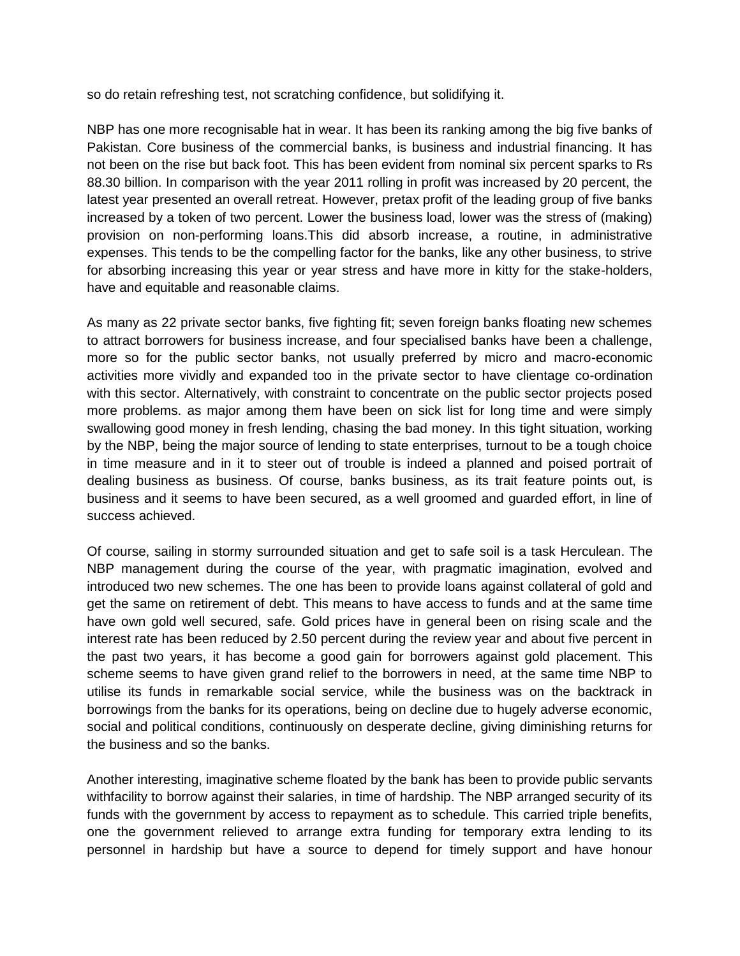so do retain refreshing test, not scratching confidence, but solidifying it.

NBP has one more recognisable hat in wear. It has been its ranking among the big five banks of Pakistan. Core business of the commercial banks, is business and industrial financing. It has not been on the rise but back foot. This has been evident from nominal six percent sparks to Rs 88.30 billion. In comparison with the year 2011 rolling in profit was increased by 20 percent, the latest year presented an overall retreat. However, pretax profit of the leading group of five banks increased by a token of two percent. Lower the business load, lower was the stress of (making) provision on non-performing loans.This did absorb increase, a routine, in administrative expenses. This tends to be the compelling factor for the banks, like any other business, to strive for absorbing increasing this year or year stress and have more in kitty for the stake-holders, have and equitable and reasonable claims.

As many as 22 private sector banks, five fighting fit; seven foreign banks floating new schemes to attract borrowers for business increase, and four specialised banks have been a challenge, more so for the public sector banks, not usually preferred by micro and macro-economic activities more vividly and expanded too in the private sector to have clientage co-ordination with this sector. Alternatively, with constraint to concentrate on the public sector projects posed more problems. as major among them have been on sick list for long time and were simply swallowing good money in fresh lending, chasing the bad money. In this tight situation, working by the NBP, being the major source of lending to state enterprises, turnout to be a tough choice in time measure and in it to steer out of trouble is indeed a planned and poised portrait of dealing business as business. Of course, banks business, as its trait feature points out, is business and it seems to have been secured, as a well groomed and guarded effort, in line of success achieved.

Of course, sailing in stormy surrounded situation and get to safe soil is a task Herculean. The NBP management during the course of the year, with pragmatic imagination, evolved and introduced two new schemes. The one has been to provide loans against collateral of gold and get the same on retirement of debt. This means to have access to funds and at the same time have own gold well secured, safe. Gold prices have in general been on rising scale and the interest rate has been reduced by 2.50 percent during the review year and about five percent in the past two years, it has become a good gain for borrowers against gold placement. This scheme seems to have given grand relief to the borrowers in need, at the same time NBP to utilise its funds in remarkable social service, while the business was on the backtrack in borrowings from the banks for its operations, being on decline due to hugely adverse economic, social and political conditions, continuously on desperate decline, giving diminishing returns for the business and so the banks.

Another interesting, imaginative scheme floated by the bank has been to provide public servants withfacility to borrow against their salaries, in time of hardship. The NBP arranged security of its funds with the government by access to repayment as to schedule. This carried triple benefits, one the government relieved to arrange extra funding for temporary extra lending to its personnel in hardship but have a source to depend for timely support and have honour